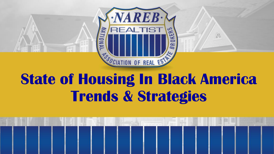

# **State of Housing In Black America Trends & Strategies**

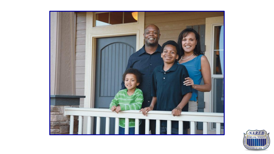

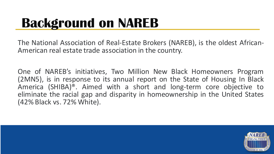# **Background on NAREB**

The National Association of Real-Estate Brokers (NAREB), is the oldest African-American real estate trade association in the country.

One of NAREB's initiatives, Two Million New Black Homeowners Program (2MN5), is in response to its annual report on the State of Housing In Black America (SHIBA)®. Aimed with a short and long-term core objective to eliminate the racial gap and disparity in homeownership in the United States (42% Black vs. 72% White).

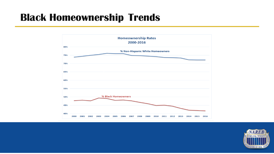#### **Black Homeownership Trends**



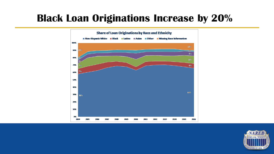## **Black Loan Originations Increase by 20%**



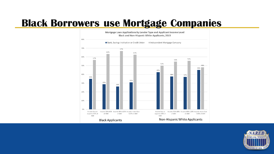## **Black Borrowers use Mortgage Companies**



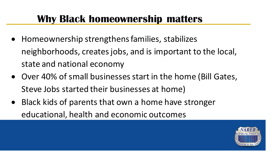## **Why Black homeownership matters**

- Homeownership strengthens families, stabilizes neighborhoods, creates jobs, and is important to the local, state and national economy
- Over 40% of small businesses start in the home (Bill Gates, Steve Jobs started their businesses at home)
- Black kids of parents that own a home have stronger educational, health and economic outcomes

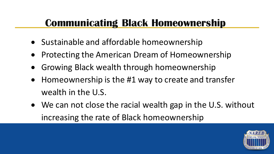#### **Communicating Black Homeownership**

- Sustainable and affordable homeownership
- Protecting the American Dream of Homeownership
- Growing Black wealth through homeownership
- Homeownership is the #1 way to create and transfer wealth in the U.S.
- We can not close the racial wealth gap in the U.S. without increasing the rate of Black homeownership